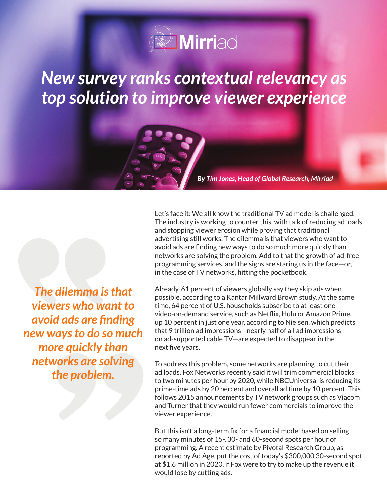

### *[New survey ranks contextual relevancy as](mirriad.com)  top solution to improve viewer experience*



Let's face it: We all know the traditional TV ad model is challenged. The industry is working to counter this, with talk of reducing ad loads and stopping viewer erosion while proving that traditional advertising still works. The dilemma is that viewers who want to avoid ads are finding new ways to do so much more quickly than networks are solving the problem. Add to that the growth of ad-free programming services, and the signs are staring us in the face—or, in the case of TV networks, hitting the pocketbook.

Already, 61 percent of viewers globally say they skip ads when possible, according to a Kantar Millward Brown study. At the same time, 64 percent of U.S. households subscribe to at least one video-on-demand service, such as Netflix, Hulu or Amazon Prime, up 10 percent in just one year, according to Nielsen, which predicts that 9 trillion ad impressions—nearly half of all ad impressions on ad-supported cable TV—are expected to disappear in the next five years.

To address this problem, some networks are planning to cut their ad loads. Fox Networks recently said it will trim commercial blocks to two minutes per hour by 2020, while NBCUniversal is reducing its prime-time ads by 20 percent and overall ad time by 10 percent. This follows 2015 announcements by TV network groups such as Viacom and Turner that they would run fewer commercials to improve the viewer experience.

But this isn't a long-term fix for a financial model based on selling so many minutes of 15-, 30- and 60-second spots per hour of programming. A recent estimate by Pivotal Research Group, as reported by Ad Age, put the cost of today's \$300,000 30-second spot at \$1.6 million in 2020, if Fox were to try to make up the revenue it would lose by cutting ads.

*The dilemma is that viewers who want to avoid ads are finding new ways to do so much more quickly than networks are solving the problem.*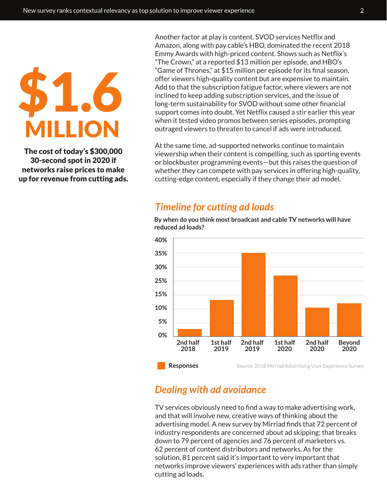# \$1.6 MILLION

The cost of today's \$300,000 30-second spot in 2020 if networks raise prices to make up for revenue from cutting ads. Another factor at play is content. SVOD services Netflix and Amazon, along with pay cable's HBO, dominated the recent 2018 Emmy Awards with high-priced content. Shows such as Netflix's "The Crown," at a reported \$13 million per episode, and HBO's "Game of Thrones," at \$15 million per episode for its final season, offer viewers high-quality content but are expensive to maintain. Add to that the subscription fatigue factor, where viewers are not inclined to keep adding subscription services, and the issue of long-term sustainability for SVOD without some other financial support comes into doubt. Yet Netflix caused a stir earlier this year when it tested video promos between series episodes, prompting outraged viewers to threaten to cancel if ads were introduced.

At the same time, ad-supported networks continue to maintain viewership when their content is compelling, such as sporting events or blockbuster programming events—but this raises the question of whether they can compete with pay services in offering high-quality, cutting-edge content, especially if they change their ad model.

#### *Timeline for cutting ad loads*



**By when do you think most broadcast and cable TV networks will have reduced ad loads?**

### *Dealing with ad avoidance*

TV services obviously need to find a way to make advertising work, and that will involve new, creative ways of thinking about the advertising model. A new survey by Mirriad finds that 72 percent of industry respondents are concerned about ad skipping; that breaks down to 79 percent of agencies and 76 percent of marketers vs. 62 percent of content distributors and networks. As for the solution, 81 percent said it's important to very important that networks improve viewers' experiences with ads rather than simply cutting ad loads.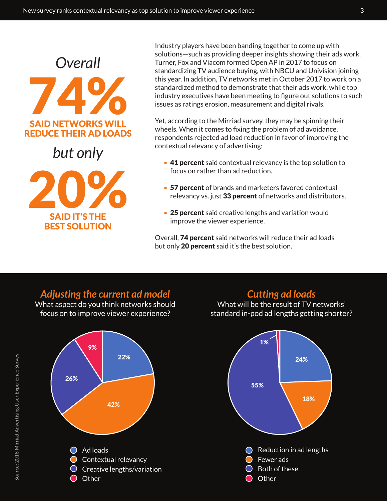## 74% SAID NETWORKS WILL REDUCE THEIR AD LOADS *Overall*

*but only*



Industry players have been banding together to come up with solutions—such as providing deeper insights showing their ads work. Turner, Fox and Viacom formed Open AP in 2017 to focus on standardizing TV audience buying, with NBCU and Univision joining this year. In addition, TV networks met in October 2017 to work on a standardized method to demonstrate that their ads work, while top industry executives have been meeting to figure out solutions to such issues as ratings erosion, measurement and digital rivals.

Yet, according to the Mirriad survey, they may be spinning their wheels. When it comes to fixing the problem of ad avoidance, respondents rejected ad load reduction in favor of improving the contextual relevancy of advertising:

- 41 percent said contextual relevancy is the top solution to focus on rather than ad reduction.
- 57 percent of brands and marketers favored contextual relevancy vs. just 33 percent of networks and distributors.
- 25 percent said creative lengths and variation would improve the viewer experience.

Overall, 74 percent said networks will reduce their ad loads but only 20 percent said it's the best solution.

### *Adjusting the current ad model*

What aspect do you think networks should focus on to improve viewer experience?

9%

◯ Ad loads

26%

**Other** 

Contextual relevancy Creative lengths/variation

42%

### *Cutting ad loads*

What will be the result of TV networks' standard in-pod ad lengths getting shorter?